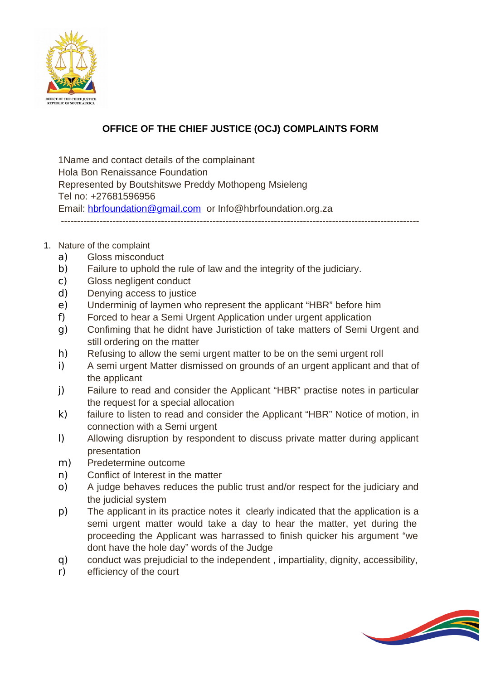

## **OFFICE OF THE CHIEF JUSTICE (OCJ) COMPLAINTS FORM**

1Name and contact details of the complainant Hola Bon Renaissance Foundation Represented by Boutshitswe Preddy Mothopeng Msieleng Tel no: +27681596956 Email: [hbrfoundation@gmail.com](mailto:hbrfoundation@gmail.com) or Info@hbrfoundation.org.za ---------------------------------------------------------------------------------------------------------------

## 1. Nature of the complaint

- a) Gloss misconduct
- b) Failure to uphold the rule of law and the integrity of the judiciary.
- c) Gloss negligent conduct
- d) Denying access to justice
- e) Underminig of laymen who represent the applicant "HBR" before him
- f) Forced to hear a Semi Urgent Application under urgent application
- g) Confiming that he didnt have Juristiction of take matters of Semi Urgent and still ordering on the matter
- h) Refusing to allow the semi urgent matter to be on the semi urgent roll
- i) A semi urgent Matter dismissed on grounds of an urgent applicant and that of the applicant
- j) Failure to read and consider the Applicant "HBR" practise notes in particular the request for a special allocation
- k) failure to listen to read and consider the Applicant "HBR" Notice of motion, in connection with a Semi urgent
- l) Allowing disruption by respondent to discuss private matter during applicant presentation
- m) Predetermine outcome
- n) Conflict of Interest in the matter
- o) A judge behaves reduces the public trust and/or respect for the judiciary and the judicial system
- p) The applicant in its practice notes it clearly indicated that the application is a semi urgent matter would take a day to hear the matter, yet during the proceeding the Applicant was harrassed to finish quicker his argument "we dont have the hole day" words of the Judge
- q) conduct was prejudicial to the independent , impartiality, dignity, accessibility,
- r) efficiency of the court

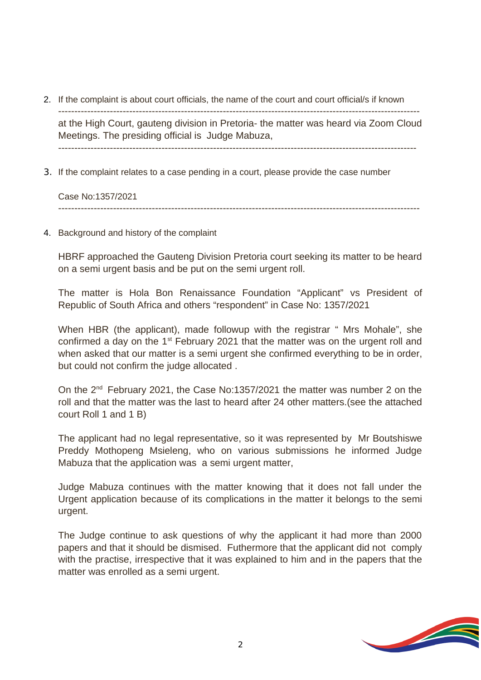2. If the complaint is about court officials, the name of the court and court official/s if known

at the High Court, gauteng division in Pretoria- the matter was heard via Zoom Cloud Meetings. The presiding official is Judge Mabuza,

3. If the complaint relates to a case pending in a court, please provide the case number

Case No:1357/2021 ----------------------------------------------------------------------------------------------------------------

4. Background and history of the complaint

HBRF approached the Gauteng Division Pretoria court seeking its matter to be heard on a semi urgent basis and be put on the semi urgent roll.

The matter is Hola Bon Renaissance Foundation "Applicant" vs President of Republic of South Africa and others "respondent" in Case No: 1357/2021

When HBR (the applicant), made followup with the registrar " Mrs Mohale", she confirmed a day on the  $1<sup>st</sup>$  February 2021 that the matter was on the urgent roll and when asked that our matter is a semi urgent she confirmed everything to be in order, but could not confirm the judge allocated .

On the 2<sup>nd</sup> February 2021, the Case No:1357/2021 the matter was number 2 on the roll and that the matter was the last to heard after 24 other matters.(see the attached court Roll 1 and 1 B)

The applicant had no legal representative, so it was represented by Mr Boutshiswe Preddy Mothopeng Msieleng, who on various submissions he informed Judge Mabuza that the application was a semi urgent matter,

Judge Mabuza continues with the matter knowing that it does not fall under the Urgent application because of its complications in the matter it belongs to the semi urgent.

The Judge continue to ask questions of why the applicant it had more than 2000 papers and that it should be dismised. Futhermore that the applicant did not comply with the practise, irrespective that it was explained to him and in the papers that the matter was enrolled as a semi urgent.